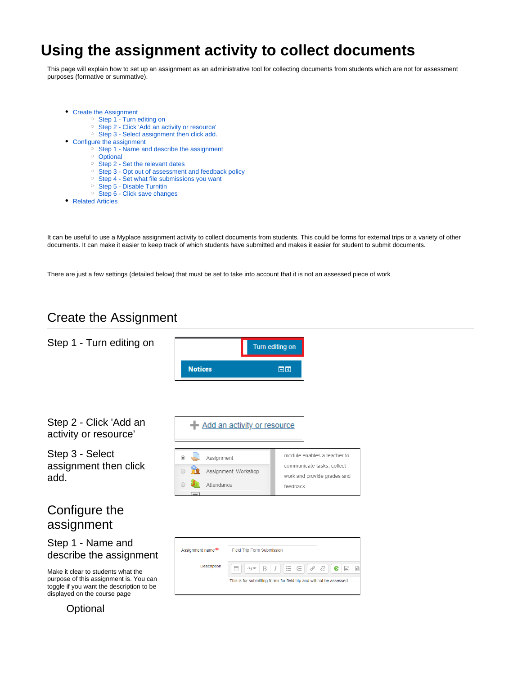# **Using the assignment activity to collect documents**

This page will explain how to set up an assignment as an administrative tool for collecting documents from students which are not for assessment purposes (formative or summative).

- [Create the Assignment](#page-0-0)
	- [Step 1 Turn editing on](#page-0-1)
	- <sup>o</sup> [Step 2 Click 'Add an activity or resource'](#page-0-2)
	- <sup>o</sup> [Step 3 Select assignment then click add.](#page-0-3)
- [Configure the assignment](#page-0-4)
	- $\circ$  [Step 1 Name and describe the assignment](#page-0-5)
	- <sup>o</sup> [Optional](#page-0-6)
	- <sup>o</sup> [Step 2 Set the relevant dates](#page-1-0)
	- <sup>o</sup> [Step 3 Opt out of assessment and feedback policy](#page-1-1)
	- <sup>o</sup> [Step 4 Set what file submissions you want](#page-1-2)
	- <sup>o</sup> [Step 5 Disable Turnitin](#page-1-3)
	- <sup>o</sup> [Step 6 Click save changes](#page-1-4)
- [Related Articles](#page-1-5)

It can be useful to use a Myplace assignment activity to collect documents from students. This could be forms for external trips or a variety of other documents. It can make it easier to keep track of which students have submitted and makes it easier for student to submit documents.

There are just a few settings (detailed below) that must be set to take into account that it is not an assessed piece of work

# Create the Assignment

<span id="page-0-6"></span><span id="page-0-5"></span><span id="page-0-4"></span><span id="page-0-3"></span><span id="page-0-2"></span><span id="page-0-1"></span><span id="page-0-0"></span>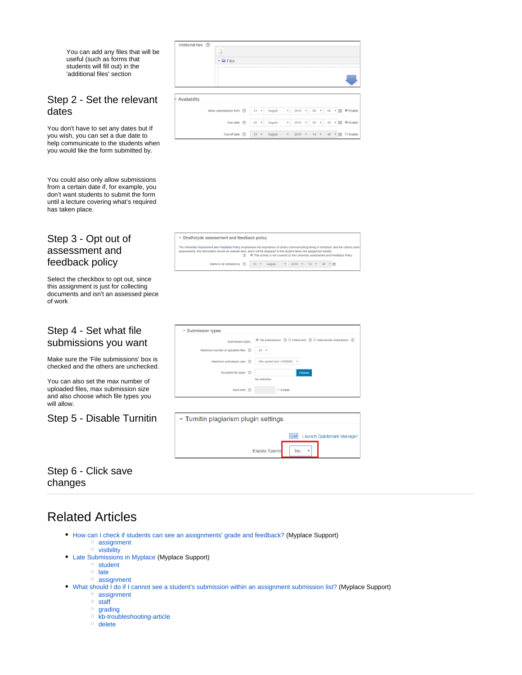You can add any files that will be useful (such as forms that students will fill out) in the 'additional files' section

Additional files (?)

 $\Box$ 

#### <span id="page-1-0"></span>Step 2 - Set the relevant dates

You don't have to set any dates but If you wish, you can set a due date to help communicate to the students when you would like the form submitted by.

You could also only allow submissions from a certain date if, for example, you don't want students to submit the form until a lecture covering what's required has taken place.

### <span id="page-1-1"></span>Step 3 - Opt out of assessment and feedback policy

Select the checkbox to opt out, since this assignment is just for collecting documents and isn't an assessed piece of work

#### <span id="page-1-2"></span>Step 4 - Set what file submissions you want

Make sure the 'File submissions' box is checked and the others are unchecked.

You can also set the max number of uploaded files, max submission size and also choose which file types you will allow.

#### <span id="page-1-3"></span>Step 5 - Disable Turnitin

|              | $\triangleright$ $\blacksquare$ Files |  |          |      |        |    |            |  |             |  |        |  |  |          |  |
|--------------|---------------------------------------|--|----------|------|--------|----|------------|--|-------------|--|--------|--|--|----------|--|
|              |                                       |  |          |      |        |    |            |  |             |  |        |  |  |          |  |
|              |                                       |  |          |      |        |    |            |  |             |  |        |  |  |          |  |
| Availability |                                       |  |          |      |        |    |            |  |             |  |        |  |  |          |  |
|              | Allow submissions from (2)            |  | $13 - r$ |      | August | ۳. | $2019$ $*$ |  | $00 *$      |  | 00 ▼ 面 |  |  | ■ Enable |  |
|              | Due date $\circled{?}$                |  | 20       | $ +$ | August | ۷. | $2019$ $*$ |  | $00 \times$ |  | 00 ▼   |  |  | Enable   |  |

\* Strathclyde assessment and feedback policy r maacaattici<br>this informa ccuoach<br>iuld be ei  $\frac{S}{S}$  and it will be displayed to the student below the assignment details.<br>This activity is not covered by the University Assessment and Feedback Policy Marks to be released by  $\circled{2}$  13 **v** August **v** 2019 **v** 14 **v** 45 **v** 11

| $\sim$ Submission types              |                              |
|--------------------------------------|------------------------------|
| Submission types                     |                              |
| Maximum number of uploaded files (?) | $20 *$                       |
| Maximum submission size (?)          | Site upload limit (1000MB) * |
| Accepted file types (?)              | Choose                       |
|                                      | No selection                 |
| Word limit (?)                       | <b>Enable</b>                |

| Turnitin plagiarism plugin settings |            |                          |
|-------------------------------------|------------|--------------------------|
|                                     | <b>IQM</b> | Launch Quickmark Manager |
| <b>Enable Turnitin</b>              |            |                          |

## <span id="page-1-4"></span>Step 6 - Click save changes

# <span id="page-1-5"></span>Related Articles

- [How can I check if students can see an assignments' grade and feedback?](https://wiki.lte.strath.ac.uk/pages/viewpage.action?pageId=90079311) (Myplace Support) <sup>o</sup> [assignment](https://wiki.lte.strath.ac.uk/label/assignment)
	- [visibility](https://wiki.lte.strath.ac.uk/label/visibility)
- [Late Submissions in Myplace](https://wiki.lte.strath.ac.uk/display/MS/Late+Submissions+in+Myplace) (Myplace Support)
	- <sup>o</sup> [student](https://wiki.lte.strath.ac.uk/label/student)
	- $\circ$  [late](https://wiki.lte.strath.ac.uk/label/late)
	- <sup>o</sup> [assignment](https://wiki.lte.strath.ac.uk/label/assignment)
- [What should I do if I cannot see a student's submission within an assignment submission list?](https://wiki.lte.strath.ac.uk/pages/viewpage.action?pageId=3015134) (Myplace Support)
	- [assignment](https://wiki.lte.strath.ac.uk/label/assignment)
	- [staff](https://wiki.lte.strath.ac.uk/label/staff)
	- <sup>o</sup> [grading](https://wiki.lte.strath.ac.uk/label/grading) <sup>o</sup> [kb-troubleshooting-article](https://wiki.lte.strath.ac.uk/label/kb-troubleshooting-article)
	- <sup>o</sup> [delete](https://wiki.lte.strath.ac.uk/label/delete)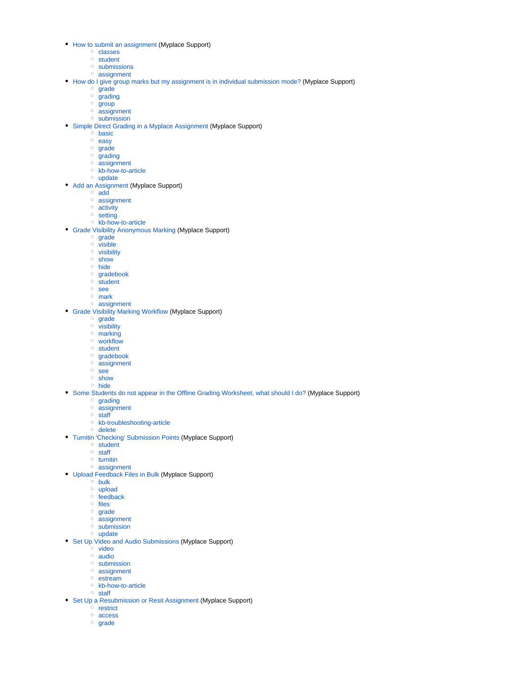- [How to submit an assignment](https://wiki.lte.strath.ac.uk/display/MS/How+to+submit+an+assignment) (Myplace Support)
	- <sup>o</sup> [classes](https://wiki.lte.strath.ac.uk/label/classes)
		- <sup>o</sup> [student](https://wiki.lte.strath.ac.uk/label/student)
		- <sup>o</sup> [submissions](https://wiki.lte.strath.ac.uk/label/submissions)
		- [assignment](https://wiki.lte.strath.ac.uk/label/assignment)
- [How do I give group marks but my assignment is in individual submission mode?](https://wiki.lte.strath.ac.uk/pages/viewpage.action?pageId=86736904) (Myplace Support)
	- <sup>o</sup> [grade](https://wiki.lte.strath.ac.uk/label/grade)
	- $\circ$  [grading](https://wiki.lte.strath.ac.uk/label/grading)
	- $\circ$  [group](https://wiki.lte.strath.ac.uk/label/group)
	- [assignment](https://wiki.lte.strath.ac.uk/label/assignment) <sup>o</sup> [submission](https://wiki.lte.strath.ac.uk/label/submission)
- [Simple Direct Grading in a Myplace Assignment](https://wiki.lte.strath.ac.uk/display/MS/Simple+Direct+Grading+in+a+Myplace+Assignment) (Myplace Support)
	- <sup>o</sup> [basic](https://wiki.lte.strath.ac.uk/label/basic)
	- <sup>o</sup> [easy](https://wiki.lte.strath.ac.uk/label/easy)
	- <sup>o</sup> [grade](https://wiki.lte.strath.ac.uk/label/grade)
	- $\circ$  [grading](https://wiki.lte.strath.ac.uk/label/grading)
	- <sup>o</sup> [assignment](https://wiki.lte.strath.ac.uk/label/assignment) <sup>o</sup> [kb-how-to-article](https://wiki.lte.strath.ac.uk/label/kb-how-to-article)
	- <sup>o</sup> [update](https://wiki.lte.strath.ac.uk/label/update)
- [Add an Assignment](https://wiki.lte.strath.ac.uk/display/MS/Add+an+Assignment) (Myplace Support)
	- [add](https://wiki.lte.strath.ac.uk/label/add)
		- <sup>o</sup> [assignment](https://wiki.lte.strath.ac.uk/label/assignment)
		- <sup>o</sup> [activity](https://wiki.lte.strath.ac.uk/label/activity)
		- <sup>o</sup> [setting](https://wiki.lte.strath.ac.uk/label/setting)
		- [kb-how-to-article](https://wiki.lte.strath.ac.uk/label/kb-how-to-article)
- [Grade Visibility Anonymous Marking](https://wiki.lte.strath.ac.uk/display/MS/Grade+Visibility+Anonymous+Marking) (Myplace Support)
	- o [grade](https://wiki.lte.strath.ac.uk/label/grade)
	- $\circ$  [visible](https://wiki.lte.strath.ac.uk/label/visible)
	- [visibility](https://wiki.lte.strath.ac.uk/label/visibility)
	- o [show](https://wiki.lte.strath.ac.uk/label/show)
	- <sup>o</sup> [hide](https://wiki.lte.strath.ac.uk/label/hide)
	- o [gradebook](https://wiki.lte.strath.ac.uk/label/gradebook)
	- $\circ$  [student](https://wiki.lte.strath.ac.uk/label/student)
	- [see](https://wiki.lte.strath.ac.uk/label/see)
	- [mark](https://wiki.lte.strath.ac.uk/label/mark)
	- <sup>o</sup> [assignment](https://wiki.lte.strath.ac.uk/label/assignment)
- [Grade Visibility Marking Workflow](https://wiki.lte.strath.ac.uk/display/MS/Grade+Visibility+Marking+Workflow) (Myplace Support)
	- <sup>o</sup> [grade](https://wiki.lte.strath.ac.uk/label/grade)
	- <sup>o</sup> [visibility](https://wiki.lte.strath.ac.uk/label/visibility)
	- o [marking](https://wiki.lte.strath.ac.uk/label/marking)
	- [workflow](https://wiki.lte.strath.ac.uk/label/workflow)
	- <sup>o</sup> [student](https://wiki.lte.strath.ac.uk/label/student) <sup>o</sup> [gradebook](https://wiki.lte.strath.ac.uk/label/gradebook)
	- o [assignment](https://wiki.lte.strath.ac.uk/label/assignment)
	- [see](https://wiki.lte.strath.ac.uk/label/see)
	- <sup>o</sup> [show](https://wiki.lte.strath.ac.uk/label/show)
	- o [hide](https://wiki.lte.strath.ac.uk/label/hide)
- [Some Students do not appear in the Offline Grading Worksheet, what should I do?](https://wiki.lte.strath.ac.uk/pages/viewpage.action?pageId=3015131) (Myplace Support)
	- <sup>o</sup> [grading](https://wiki.lte.strath.ac.uk/label/grading)
	- o [assignment](https://wiki.lte.strath.ac.uk/label/assignment)
	- $\circ$  [staff](https://wiki.lte.strath.ac.uk/label/staff)
	- <sup>o</sup> [kb-troubleshooting-article](https://wiki.lte.strath.ac.uk/label/kb-troubleshooting-article)
	- <sup>o</sup> [delete](https://wiki.lte.strath.ac.uk/label/delete)
- [Turnitin 'Checking' Submission Points](https://wiki.lte.strath.ac.uk/display/MS/Turnitin+%27Checking%27+Submission+Points) (Myplace Support) <sup>o</sup> [student](https://wiki.lte.strath.ac.uk/label/student)
	- <sup>o</sup> [staff](https://wiki.lte.strath.ac.uk/label/staff)
	- $\circ$  [turnitin](https://wiki.lte.strath.ac.uk/label/turnitin)
	- [assignment](https://wiki.lte.strath.ac.uk/label/assignment)
- [Upload Feedback Files in Bulk](https://wiki.lte.strath.ac.uk/display/MS/Upload+Feedback+Files+in+Bulk) (Myplace Support)
	- o [bulk](https://wiki.lte.strath.ac.uk/label/bulk)
	- <sup>o</sup> [upload](https://wiki.lte.strath.ac.uk/label/upload)
	- $\circ$  [feedback](https://wiki.lte.strath.ac.uk/label/feedback)
	- <sup>o</sup> [files](https://wiki.lte.strath.ac.uk/label/files)
	- o [grade](https://wiki.lte.strath.ac.uk/label/grade)
	- o [assignment](https://wiki.lte.strath.ac.uk/label/assignment)
	- <sup>o</sup> [submission](https://wiki.lte.strath.ac.uk/label/submission)
	- $\circ$  [update](https://wiki.lte.strath.ac.uk/label/update)
- [Set Up Video and Audio Submissions](https://wiki.lte.strath.ac.uk/display/MS/Set+Up+Video+and+Audio+Submissions) (Myplace Support)
	- <sup>o</sup> [video](https://wiki.lte.strath.ac.uk/label/video)
	- [audio](https://wiki.lte.strath.ac.uk/label/audio)
	- <sup>o</sup> [submission](https://wiki.lte.strath.ac.uk/label/submission)
	- [assignment](https://wiki.lte.strath.ac.uk/label/assignment) o [estream](https://wiki.lte.strath.ac.uk/label/estream)
	-
	- <sup>o</sup> [kb-how-to-article](https://wiki.lte.strath.ac.uk/label/kb-how-to-article)
	- [staff](https://wiki.lte.strath.ac.uk/label/staff)
- [Set Up a Resubmission or Resit Assignment](https://wiki.lte.strath.ac.uk/display/MS/Set+Up+a+Resubmission+or+Resit+Assignment) (Myplace Support)
	- $^{\circ}$  [restrict](https://wiki.lte.strath.ac.uk/label/restrict) [access](https://wiki.lte.strath.ac.uk/label/access)
	- o [grade](https://wiki.lte.strath.ac.uk/label/grade)